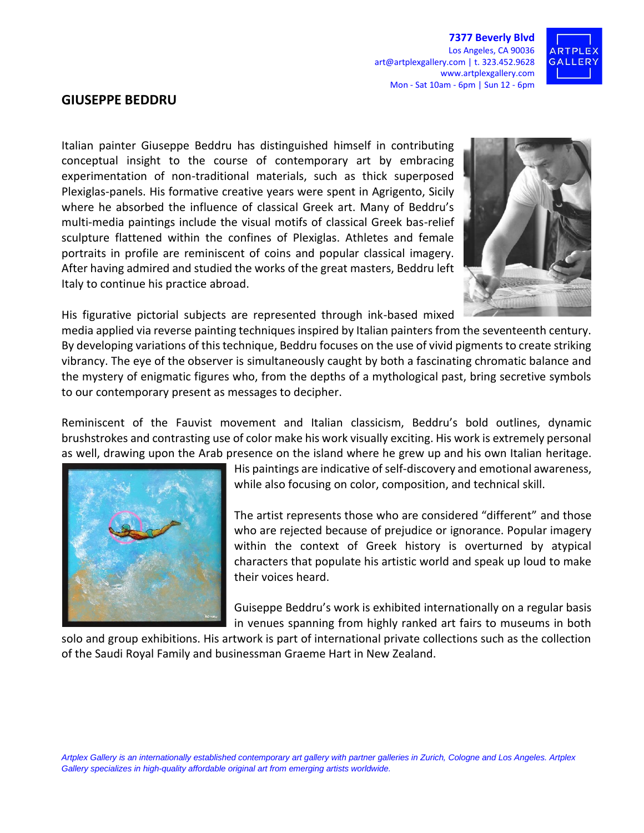**7377 Beverly Blvd** Los Angeles, CA 90036 art@artplexgallery.com | t. 323.452.9628 www.artplexgallery.com Mon - Sat 10am - 6pm | Sun 12 - 6pm



## **GIUSEPPE BEDDRU**

Italian painter Giuseppe Beddru has distinguished himself in contributing conceptual insight to the course of contemporary art by embracing experimentation of non-traditional materials, such as thick superposed Plexiglas-panels. His formative creative years were spent in Agrigento, Sicily where he absorbed the influence of classical Greek art. Many of Beddru's multi-media paintings include the visual motifs of classical Greek bas-relief sculpture flattened within the confines of Plexiglas. Athletes and female portraits in profile are reminiscent of coins and popular classical imagery. After having admired and studied the works of the great masters, Beddru left Italy to continue his practice abroad.



His figurative pictorial subjects are represented through ink-based mixed

media applied via reverse painting techniques inspired by Italian painters from the seventeenth century. By developing variations of this technique, Beddru focuses on the use of vivid pigments to create striking vibrancy. The eye of the observer is simultaneously caught by both a fascinating chromatic balance and the mystery of enigmatic figures who, from the depths of a mythological past, bring secretive symbols to our contemporary present as messages to decipher.

Reminiscent of the Fauvist movement and Italian classicism, Beddru's bold outlines, dynamic brushstrokes and contrasting use of color make his work visually exciting. His work is extremely personal as well, drawing upon the Arab presence on the island where he grew up and his own Italian heritage.



His paintings are indicative of self-discovery and emotional awareness, while also focusing on color, composition, and technical skill.

The artist represents those who are considered "different" and those who are rejected because of prejudice or ignorance. Popular imagery within the context of Greek history is overturned by atypical characters that populate his artistic world and speak up loud to make their voices heard.

Guiseppe Beddru's work is exhibited internationally on a regular basis in venues spanning from highly ranked art fairs to museums in both

solo and group exhibitions. His artwork is part of international private collections such as the collection of the Saudi Royal Family and businessman Graeme Hart in New Zealand.